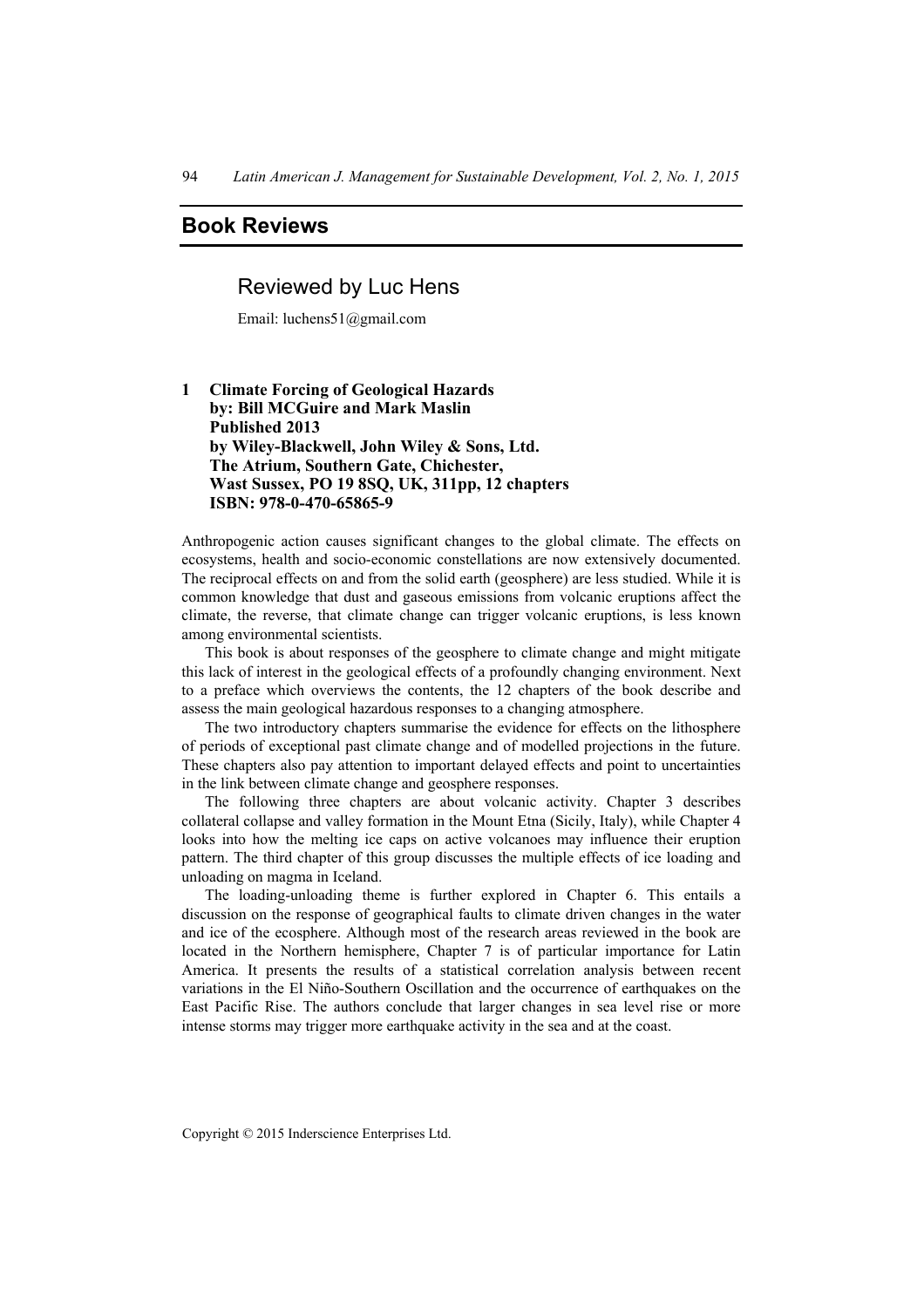# **Book Reviews**

## Reviewed by Luc Hens

Email: luchens51@gmail.com

### **1 Climate Forcing of Geological Hazards by: Bill MCGuire and Mark Maslin Published 2013 by Wiley-Blackwell, John Wiley & Sons, Ltd. The Atrium, Southern Gate, Chichester, Wast Sussex, PO 19 8SQ, UK, 311pp, 12 chapters ISBN: 978-0-470-65865-9**

Anthropogenic action causes significant changes to the global climate. The effects on ecosystems, health and socio-economic constellations are now extensively documented. The reciprocal effects on and from the solid earth (geosphere) are less studied. While it is common knowledge that dust and gaseous emissions from volcanic eruptions affect the climate, the reverse, that climate change can trigger volcanic eruptions, is less known among environmental scientists.

This book is about responses of the geosphere to climate change and might mitigate this lack of interest in the geological effects of a profoundly changing environment. Next to a preface which overviews the contents, the 12 chapters of the book describe and assess the main geological hazardous responses to a changing atmosphere.

The two introductory chapters summarise the evidence for effects on the lithosphere of periods of exceptional past climate change and of modelled projections in the future. These chapters also pay attention to important delayed effects and point to uncertainties in the link between climate change and geosphere responses.

The following three chapters are about volcanic activity. Chapter 3 describes collateral collapse and valley formation in the Mount Etna (Sicily, Italy), while Chapter 4 looks into how the melting ice caps on active volcanoes may influence their eruption pattern. The third chapter of this group discusses the multiple effects of ice loading and unloading on magma in Iceland.

The loading-unloading theme is further explored in Chapter 6. This entails a discussion on the response of geographical faults to climate driven changes in the water and ice of the ecosphere. Although most of the research areas reviewed in the book are located in the Northern hemisphere, Chapter 7 is of particular importance for Latin America. It presents the results of a statistical correlation analysis between recent variations in the El Niño-Southern Oscillation and the occurrence of earthquakes on the East Pacific Rise. The authors conclude that larger changes in sea level rise or more intense storms may trigger more earthquake activity in the sea and at the coast.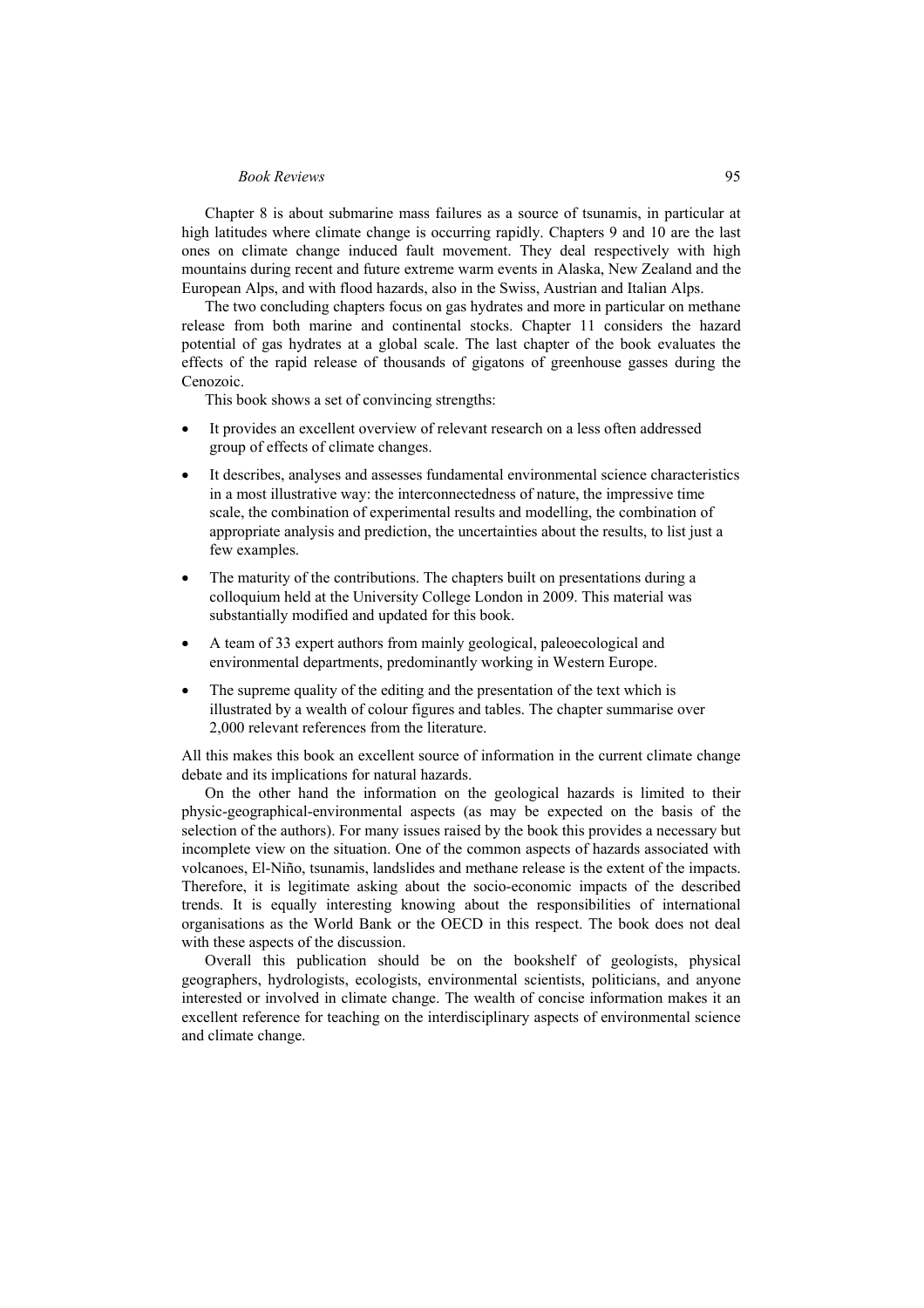#### *Book Reviews* 95

Chapter 8 is about submarine mass failures as a source of tsunamis, in particular at high latitudes where climate change is occurring rapidly. Chapters 9 and 10 are the last ones on climate change induced fault movement. They deal respectively with high mountains during recent and future extreme warm events in Alaska, New Zealand and the European Alps, and with flood hazards, also in the Swiss, Austrian and Italian Alps.

The two concluding chapters focus on gas hydrates and more in particular on methane release from both marine and continental stocks. Chapter 11 considers the hazard potential of gas hydrates at a global scale. The last chapter of the book evaluates the effects of the rapid release of thousands of gigatons of greenhouse gasses during the Cenozoic.

This book shows a set of convincing strengths:

- It provides an excellent overview of relevant research on a less often addressed group of effects of climate changes.
- It describes, analyses and assesses fundamental environmental science characteristics in a most illustrative way: the interconnectedness of nature, the impressive time scale, the combination of experimental results and modelling, the combination of appropriate analysis and prediction, the uncertainties about the results, to list just a few examples.
- The maturity of the contributions. The chapters built on presentations during a colloquium held at the University College London in 2009. This material was substantially modified and updated for this book.
- A team of 33 expert authors from mainly geological, paleoecological and environmental departments, predominantly working in Western Europe.
- The supreme quality of the editing and the presentation of the text which is illustrated by a wealth of colour figures and tables. The chapter summarise over 2,000 relevant references from the literature.

All this makes this book an excellent source of information in the current climate change debate and its implications for natural hazards.

On the other hand the information on the geological hazards is limited to their physic-geographical-environmental aspects (as may be expected on the basis of the selection of the authors). For many issues raised by the book this provides a necessary but incomplete view on the situation. One of the common aspects of hazards associated with volcanoes, El-Niño, tsunamis, landslides and methane release is the extent of the impacts. Therefore, it is legitimate asking about the socio-economic impacts of the described trends. It is equally interesting knowing about the responsibilities of international organisations as the World Bank or the OECD in this respect. The book does not deal with these aspects of the discussion.

Overall this publication should be on the bookshelf of geologists, physical geographers, hydrologists, ecologists, environmental scientists, politicians, and anyone interested or involved in climate change. The wealth of concise information makes it an excellent reference for teaching on the interdisciplinary aspects of environmental science and climate change.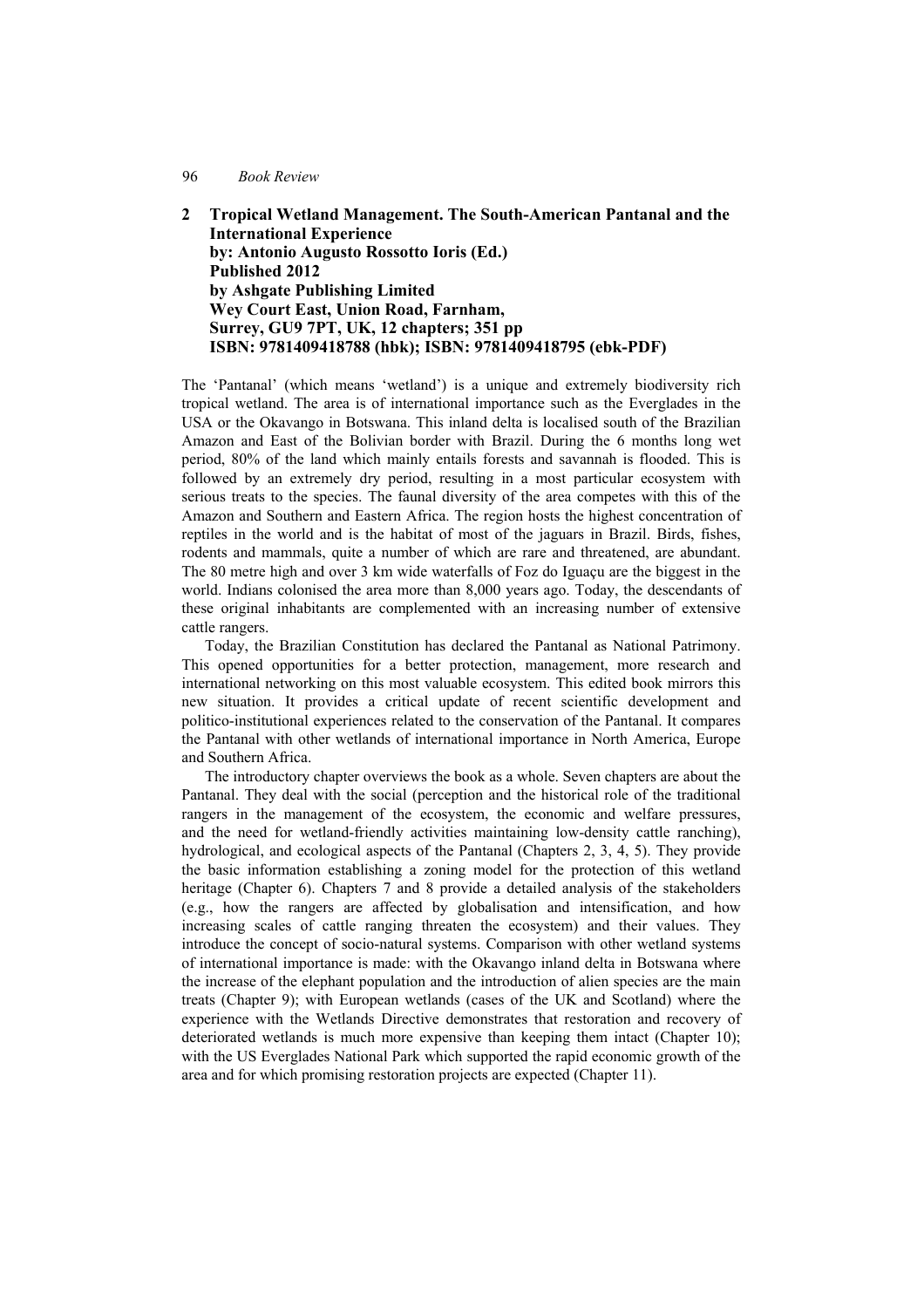#### 96 *Book Review*

**2 Tropical Wetland Management. The South-American Pantanal and the International Experience by: Antonio Augusto Rossotto Ioris (Ed.) Published 2012 by Ashgate Publishing Limited Wey Court East, Union Road, Farnham, Surrey, GU9 7PT, UK, 12 chapters; 351 pp ISBN: 9781409418788 (hbk); ISBN: 9781409418795 (ebk-PDF)** 

The 'Pantanal' (which means 'wetland') is a unique and extremely biodiversity rich tropical wetland. The area is of international importance such as the Everglades in the USA or the Okavango in Botswana. This inland delta is localised south of the Brazilian Amazon and East of the Bolivian border with Brazil. During the 6 months long wet period, 80% of the land which mainly entails forests and savannah is flooded. This is followed by an extremely dry period, resulting in a most particular ecosystem with serious treats to the species. The faunal diversity of the area competes with this of the Amazon and Southern and Eastern Africa. The region hosts the highest concentration of reptiles in the world and is the habitat of most of the jaguars in Brazil. Birds, fishes, rodents and mammals, quite a number of which are rare and threatened, are abundant. The 80 metre high and over 3 km wide waterfalls of Foz do Iguaçu are the biggest in the world. Indians colonised the area more than 8,000 years ago. Today, the descendants of these original inhabitants are complemented with an increasing number of extensive cattle rangers.

Today, the Brazilian Constitution has declared the Pantanal as National Patrimony. This opened opportunities for a better protection, management, more research and international networking on this most valuable ecosystem. This edited book mirrors this new situation. It provides a critical update of recent scientific development and politico-institutional experiences related to the conservation of the Pantanal. It compares the Pantanal with other wetlands of international importance in North America, Europe and Southern Africa.

The introductory chapter overviews the book as a whole. Seven chapters are about the Pantanal. They deal with the social (perception and the historical role of the traditional rangers in the management of the ecosystem, the economic and welfare pressures, and the need for wetland-friendly activities maintaining low-density cattle ranching), hydrological, and ecological aspects of the Pantanal (Chapters 2, 3, 4, 5). They provide the basic information establishing a zoning model for the protection of this wetland heritage (Chapter 6). Chapters 7 and 8 provide a detailed analysis of the stakeholders (e.g., how the rangers are affected by globalisation and intensification, and how increasing scales of cattle ranging threaten the ecosystem) and their values. They introduce the concept of socio-natural systems. Comparison with other wetland systems of international importance is made: with the Okavango inland delta in Botswana where the increase of the elephant population and the introduction of alien species are the main treats (Chapter 9); with European wetlands (cases of the UK and Scotland) where the experience with the Wetlands Directive demonstrates that restoration and recovery of deteriorated wetlands is much more expensive than keeping them intact (Chapter 10); with the US Everglades National Park which supported the rapid economic growth of the area and for which promising restoration projects are expected (Chapter 11).